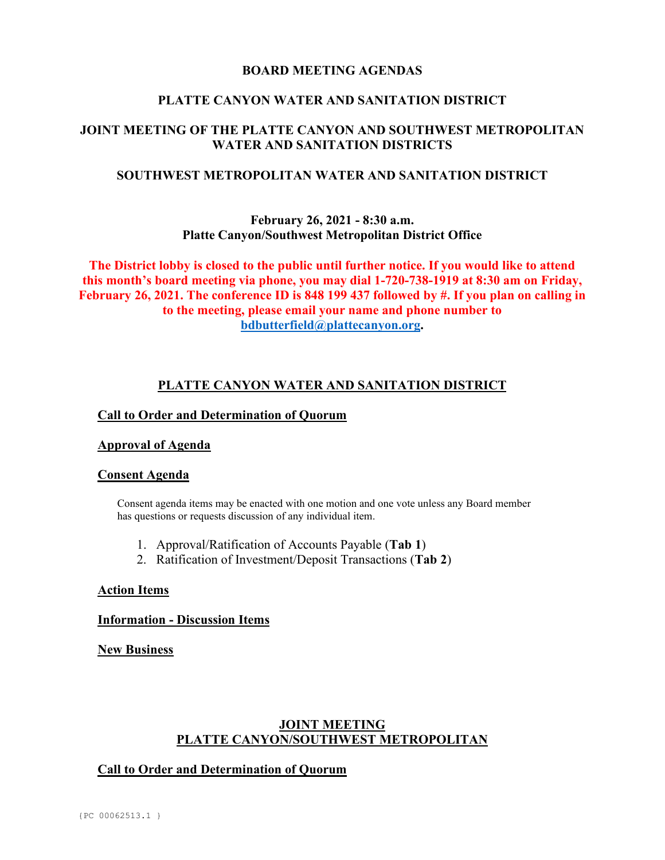### **BOARD MEETING AGENDAS**

### **PLATTE CANYON WATER AND SANITATION DISTRICT**

# **JOINT MEETING OF THE PLATTE CANYON AND SOUTHWEST METROPOLITAN WATER AND SANITATION DISTRICTS**

## **SOUTHWEST METROPOLITAN WATER AND SANITATION DISTRICT**

## **February 26, 2021 - 8:30 a.m. Platte Canyon/Southwest Metropolitan District Office**

**The District lobby is closed to the public until further notice. If you would like to attend this month's board meeting via phone, you may dial 1-720-738-1919 at 8:30 am on Friday, February 26, 2021. The conference ID is 848 199 437 followed by #. If you plan on calling in to the meeting, please email your name and phone number to [bdbutterfield@plattecanyon.org.](mailto:bdbutterfield@plattecanyon.org)**

## **PLATTE CANYON WATER AND SANITATION DISTRICT**

### **Call to Order and Determination of Quorum**

### **Approval of Agenda**

### **Consent Agenda**

Consent agenda items may be enacted with one motion and one vote unless any Board member has questions or requests discussion of any individual item.

- 1. Approval/Ratification of Accounts Payable (**Tab 1**)
- 2. Ratification of Investment/Deposit Transactions (**Tab 2**)

### **Action Items**

### **Information - Discussion Items**

**New Business**

## **JOINT MEETING PLATTE CANYON/SOUTHWEST METROPOLITAN**

## **Call to Order and Determination of Quorum**